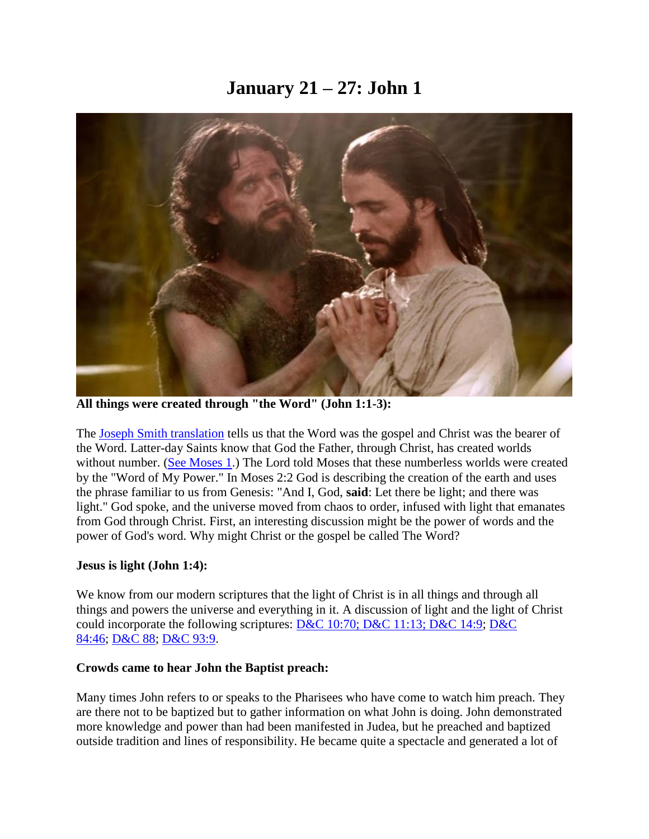## **January 21 – 27: John 1**



**All things were created through "the Word" (John 1:1-3):**

The [Joseph Smith translation](https://www.lds.org/study/scriptures/jst/jst-john/1.1-5?lang=eng#p1) tells us that the Word was the gospel and Christ was the bearer of the Word. Latter-day Saints know that God the Father, through Christ, has created worlds without number. [\(See Moses 1.](https://www.lds.org/scriptures/pgp/moses/1.33?lang=eng&clang=eng#p32)) The Lord told Moses that these numberless worlds were created by the "Word of My Power." In Moses 2:2 God is describing the creation of the earth and uses the phrase familiar to us from Genesis: "And I, God, **said**: Let there be light; and there was light." God spoke, and the universe moved from chaos to order, infused with light that emanates from God through Christ. First, an interesting discussion might be the power of words and the power of God's word. Why might Christ or the gospel be called The Word?

#### **Jesus is light (John 1:4):**

We know from our modern scriptures that the light of Christ is in all things and through all things and powers the universe and everything in it. A discussion of light and the light of Christ could incorporate the following scriptures: [D&C 10:70;](https://www.lds.org/scriptures/dc-testament/dc/10.70?lang=eng#p69) [D&C 11:13;](https://www.lds.org/scriptures/dc-testament/dc/11.13?lang=eng#p12) [D&C 14:9;](https://www.lds.org/scriptures/dc-testament/dc/14.9?lang=eng#p8) [D&C](https://www.lds.org/scriptures/dc-testament/dc/84.46?lang=eng#p45)  [84:46;](https://www.lds.org/scriptures/dc-testament/dc/84.46?lang=eng#p45) [D&C 88;](https://www.lds.org/scriptures/dc-testament/dc/88.7?lang=eng#p6) [D&C 93:9.](https://www.lds.org/scriptures/dc-testament/dc/93.9?lang=eng#p8)

#### **Crowds came to hear John the Baptist preach:**

Many times John refers to or speaks to the Pharisees who have come to watch him preach. They are there not to be baptized but to gather information on what John is doing. John demonstrated more knowledge and power than had been manifested in Judea, but he preached and baptized outside tradition and lines of responsibility. He became quite a spectacle and generated a lot of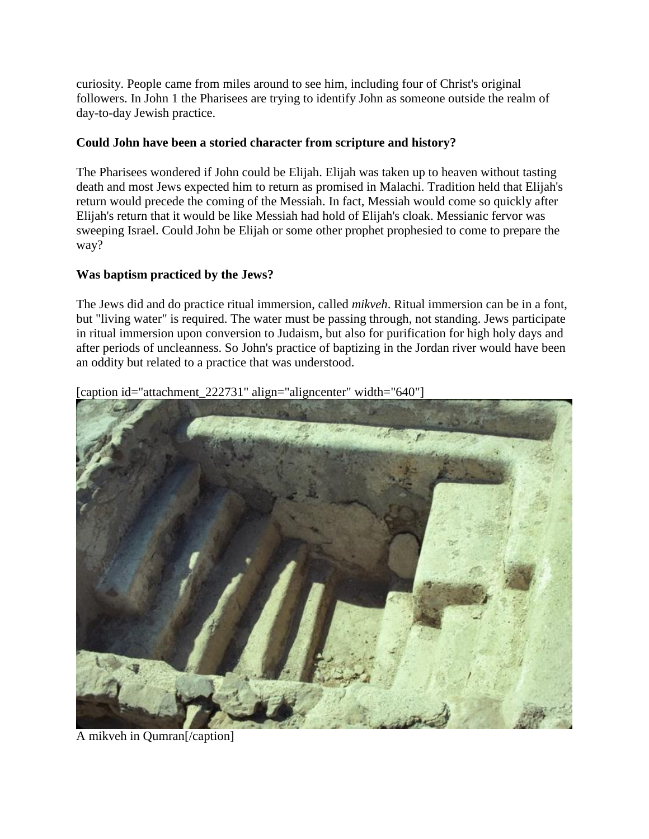curiosity. People came from miles around to see him, including four of Christ's original followers. In John 1 the Pharisees are trying to identify John as someone outside the realm of day-to-day Jewish practice.

### **Could John have been a storied character from scripture and history?**

The Pharisees wondered if John could be Elijah. Elijah was taken up to heaven without tasting death and most Jews expected him to return as promised in Malachi. Tradition held that Elijah's return would precede the coming of the Messiah. In fact, Messiah would come so quickly after Elijah's return that it would be like Messiah had hold of Elijah's cloak. Messianic fervor was sweeping Israel. Could John be Elijah or some other prophet prophesied to come to prepare the way?

### **Was baptism practiced by the Jews?**

The Jews did and do practice ritual immersion, called *mikveh*. Ritual immersion can be in a font, but "living water" is required. The water must be passing through, not standing. Jews participate in ritual immersion upon conversion to Judaism, but also for purification for high holy days and after periods of uncleanness. So John's practice of baptizing in the Jordan river would have been an oddity but related to a practice that was understood.



[caption id="attachment\_222731" align="aligncenter" width="640"]

A mikveh in Qumran[/caption]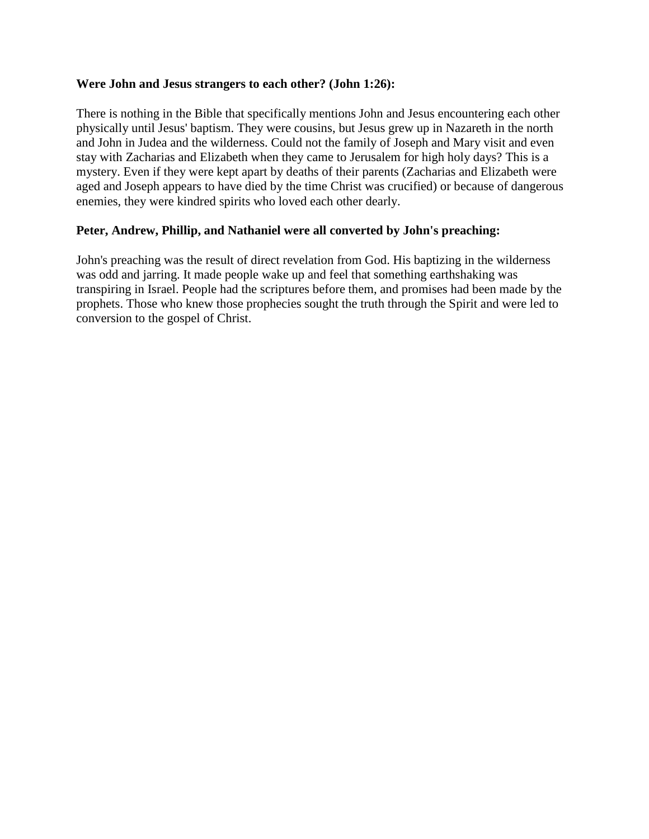### **Were John and Jesus strangers to each other? (John 1:26):**

There is nothing in the Bible that specifically mentions John and Jesus encountering each other physically until Jesus' baptism. They were cousins, but Jesus grew up in Nazareth in the north and John in Judea and the wilderness. Could not the family of Joseph and Mary visit and even stay with Zacharias and Elizabeth when they came to Jerusalem for high holy days? This is a mystery. Even if they were kept apart by deaths of their parents (Zacharias and Elizabeth were aged and Joseph appears to have died by the time Christ was crucified) or because of dangerous enemies, they were kindred spirits who loved each other dearly.

### **Peter, Andrew, Phillip, and Nathaniel were all converted by John's preaching:**

John's preaching was the result of direct revelation from God. His baptizing in the wilderness was odd and jarring. It made people wake up and feel that something earthshaking was transpiring in Israel. People had the scriptures before them, and promises had been made by the prophets. Those who knew those prophecies sought the truth through the Spirit and were led to conversion to the gospel of Christ.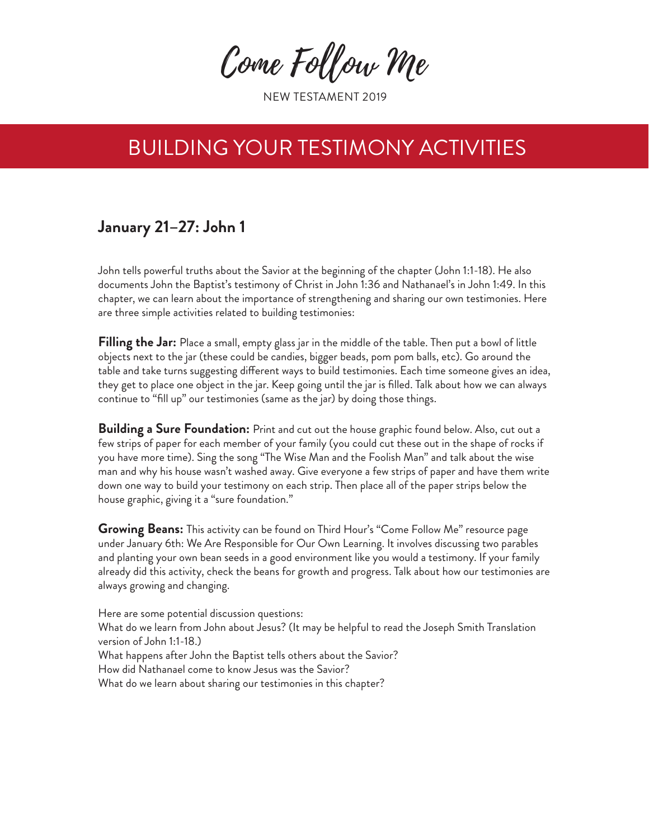Come Follow Me

NEW TESTAMENT 2019

# BUILDING YOUR TESTIMONY ACTIVITIES

### **January 21–27: John 1**

John tells powerful truths about the Savior at the beginning of the chapter (John 1:1-18). He also documents John the Baptist's testimony of Christ in John 1:36 and Nathanael's in John 1:49. In this chapter, we can learn about the importance of strengthening and sharing our own testimonies. Here are three simple activities related to building testimonies:

**Filling the Jar:** Place a small, empty glass jar in the middle of the table. Then put a bowl of little objects next to the jar (these could be candies, bigger beads, pom pom balls, etc). Go around the table and take turns suggesting different ways to build testimonies. Each time someone gives an idea, they get to place one object in the jar. Keep going until the jar is filled. Talk about how we can always continue to "fill up" our testimonies (same as the jar) by doing those things.

**Building a Sure Foundation:** Print and cut out the house graphic found below. Also, cut out a few strips of paper for each member of your family (you could cut these out in the shape of rocks if you have more time). Sing the song "The Wise Man and the Foolish Man" and talk about the wise man and why his house wasn't washed away. Give everyone a few strips of paper and have them write down one way to build your testimony on each strip. Then place all of the paper strips below the house graphic, giving it a "sure foundation."

**Growing Beans:** This activity can be found on Third Hour's "Come Follow Me" resource page under January 6th: We Are Responsible for Our Own Learning. It involves discussing two parables and planting your own bean seeds in a good environment like you would a testimony. If your family already did this activity, check the beans for growth and progress. Talk about how our testimonies are always growing and changing.

Here are some potential discussion questions: What do we learn from John about Jesus? (It may be helpful to read the Joseph Smith Translation version of John 1:1-18.) What happens after John the Baptist tells others about the Savior? How did Nathanael come to know Jesus was the Savior? What do we learn about sharing our testimonies in this chapter?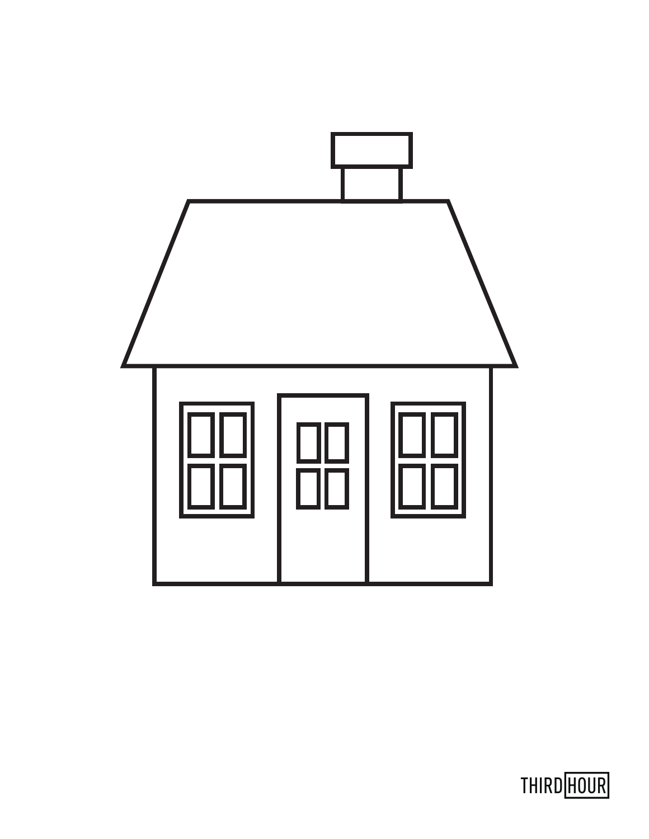

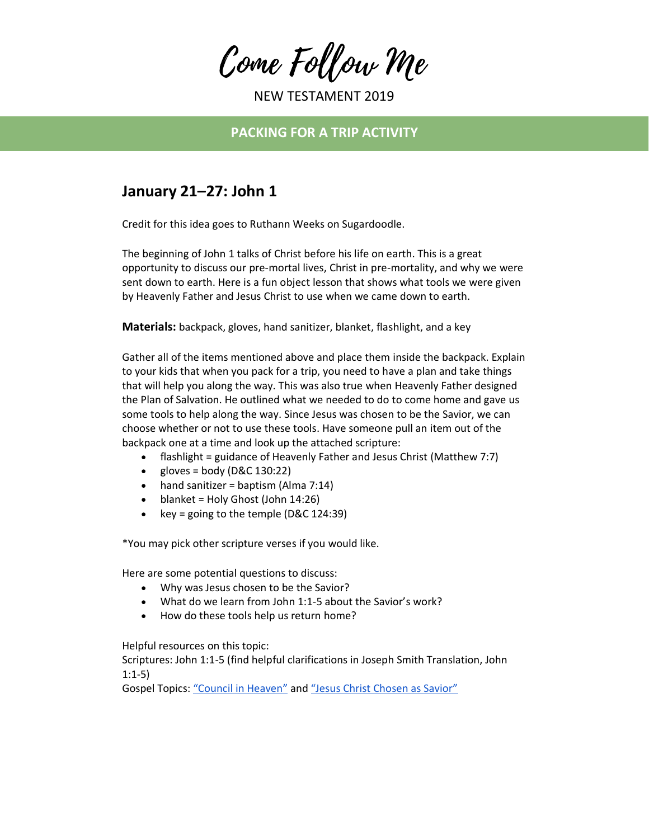Come Follow Me

NEW TESTAMENT 2019

### **PACKING FOR A TRIP ACTIVITY**

### **January 21–27: John 1**

Credit for this idea goes to Ruthann Weeks on Sugardoodle.

The beginning of John 1 talks of Christ before his life on earth. This is a great opportunity to discuss our pre-mortal lives, Christ in pre-mortality, and why we were sent down to earth. Here is a fun object lesson that shows what tools we were given by Heavenly Father and Jesus Christ to use when we came down to earth.

**Materials:** backpack, gloves, hand sanitizer, blanket, flashlight, and a key

Gather all of the items mentioned above and place them inside the backpack. Explain to your kids that when you pack for a trip, you need to have a plan and take things that will help you along the way. This was also true when Heavenly Father designed the Plan of Salvation. He outlined what we needed to do to come home and gave us some tools to help along the way. Since Jesus was chosen to be the Savior, we can choose whether or not to use these tools. Have someone pull an item out of the backpack one at a time and look up the attached scripture:

- flashlight = guidance of Heavenly Father and Jesus Christ (Matthew 7:7)
- gloves = body (D&C  $130:22$ )
- hand sanitizer = baptism (Alma  $7:14$ )
- $\bullet$  blanket = Holy Ghost (John 14:26)
- key = going to the temple (D&C 124:39)

\*You may pick other scripture verses if you would like.

Here are some potential questions to discuss:

- Why was Jesus chosen to be the Savior?
- What do we learn from John 1:1-5 about the Savior's work?
- How do these tools help us return home?

Helpful resources on this topic:

Scriptures: John 1:1-5 (find helpful clarifications in Joseph Smith Translation, John 1:1-5)

Gospel Topics: ["Council in Heaven"](https://www.lds.org/topics/council-in-heaven?lang=eng) and ["Jesus Christ Chosen as Savior"](https://www.lds.org/topics/jesus-christ-chosen-as-savior?lang=eng)